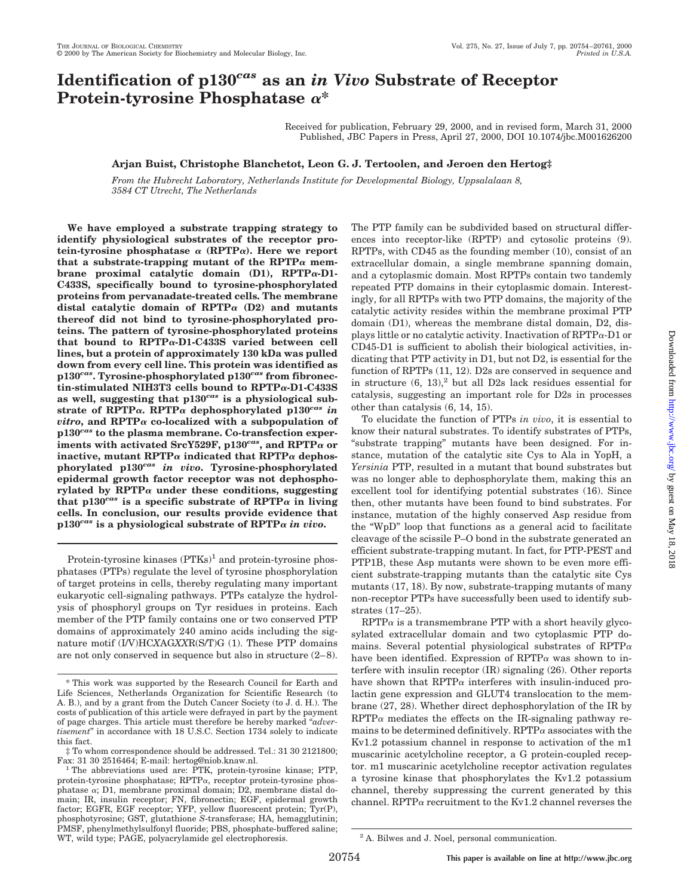# **Identification of p130***cas* **as an** *in Vivo* **Substrate of Receptor Protein-tyrosine Phosphatase** <sup>a</sup>**\***

Received for publication, February 29, 2000, and in revised form, March 31, 2000 Published, JBC Papers in Press, April 27, 2000, DOI 10.1074/jbc.M001626200

### **Arjan Buist, Christophe Blanchetot, Leon G. J. Tertoolen, and Jeroen den Hertog‡**

*From the Hubrecht Laboratory, Netherlands Institute for Developmental Biology, Uppsalalaan 8, 3584 CT Utrecht, The Netherlands*

**We have employed a substrate trapping strategy to identify physiological substrates of the receptor pro**tein-tyrosine phosphatase  $\alpha$  (RPTP $\alpha$ ). Here we report that a substrate-trapping mutant of the  $RPTP\alpha$  mem**brane proximal catalytic domain (D1), RPTP**a**-D1- C433S, specifically bound to tyrosine-phosphorylated proteins from pervanadate-treated cells. The membrane distal catalytic domain of RPTP**<sup>a</sup> **(D2) and mutants thereof did not bind to tyrosine-phosphorylated proteins. The pattern of tyrosine-phosphorylated proteins that bound to RPTP**a**-D1-C433S varied between cell lines, but a protein of approximately 130 kDa was pulled down from every cell line. This protein was identified as p130***cas***. Tyrosine-phosphorylated p130***cas* **from fibronectin-stimulated NIH3T3 cells bound to RPTP**a**-D1-C433S as well, suggesting that p130***cas* **is a physiological substrate of RPTP**a**. RPTP**<sup>a</sup> **dephosphorylated p130***cas in*  $vitro$ , and  $RPTP\alpha$  co-localized with a subpopulation of **p130***cas* **to the plasma membrane. Co-transfection experiments with activated SrcY529F, p130***cas***, and RPTP**<sup>a</sup> **or** inactive, mutant  $\text{RPTP}\alpha$  indicated that  $\text{RPTP}\alpha$  dephos**phorylated p130***cas in vivo***. Tyrosine-phosphorylated epidermal growth factor receptor was not dephosphorylated by RPTP**<sup>a</sup> **under these conditions, suggesting** that  $p130^{cas}$  is a specific substrate of RPTP $\alpha$  in living **cells. In conclusion, our results provide evidence that**  $p130<sup>cas</sup>$  is a physiological substrate of RPTP $\alpha$  *in vivo*.

Protein-tyrosine kinases  $(PTKs)^1$  and protein-tyrosine phosphatases (PTPs) regulate the level of tyrosine phosphorylation of target proteins in cells, thereby regulating many important eukaryotic cell-signaling pathways. PTPs catalyze the hydrolysis of phosphoryl groups on Tyr residues in proteins. Each member of the PTP family contains one or two conserved PTP domains of approximately 240 amino acids including the signature motif (I/V)HC*X*AG*XX*R(S/T)G (1). These PTP domains are not only conserved in sequence but also in structure (2–8).

The PTP family can be subdivided based on structural differences into receptor-like (RPTP) and cytosolic proteins (9). RPTPs, with CD45 as the founding member (10), consist of an extracellular domain, a single membrane spanning domain, and a cytoplasmic domain. Most RPTPs contain two tandemly repeated PTP domains in their cytoplasmic domain. Interestingly, for all RPTPs with two PTP domains, the majority of the catalytic activity resides within the membrane proximal PTP domain (D1), whereas the membrane distal domain, D2, displays little or no catalytic activity. Inactivation of  $RPTP\alpha-D1$  or CD45-D1 is sufficient to abolish their biological activities, indicating that PTP activity in D1, but not D2, is essential for the function of RPTPs (11, 12). D2s are conserved in sequence and in structure  $(6, 13),^2$  but all D2s lack residues essential for catalysis, suggesting an important role for D2s in processes other than catalysis (6, 14, 15).

To elucidate the function of PTPs *in vivo*, it is essential to know their natural substrates. To identify substrates of PTPs, "substrate trapping" mutants have been designed. For instance, mutation of the catalytic site Cys to Ala in YopH, a *Yersinia* PTP, resulted in a mutant that bound substrates but was no longer able to dephosphorylate them, making this an excellent tool for identifying potential substrates (16). Since then, other mutants have been found to bind substrates. For instance, mutation of the highly conserved Asp residue from the "WpD" loop that functions as a general acid to facilitate cleavage of the scissile P–O bond in the substrate generated an efficient substrate-trapping mutant. In fact, for PTP-PEST and PTP1B, these Asp mutants were shown to be even more efficient substrate-trapping mutants than the catalytic site Cys mutants (17, 18). By now, substrate-trapping mutants of many non-receptor PTPs have successfully been used to identify substrates (17–25).

 $RPTP\alpha$  is a transmembrane PTP with a short heavily glycosylated extracellular domain and two cytoplasmic PTP domains. Several potential physiological substrates of RPTP $\alpha$ have been identified. Expression of  $RPTP\alpha$  was shown to interfere with insulin receptor (IR) signaling (26). Other reports have shown that  $RPTP\alpha$  interferes with insulin-induced prolactin gene expression and GLUT4 translocation to the membrane (27, 28). Whether direct dephosphorylation of the IR by  $RPTP\alpha$  mediates the effects on the IR-signaling pathway remains to be determined definitively.  $RPTP\alpha$  associates with the Kv1.2 potassium channel in response to activation of the m1 muscarinic acetylcholine receptor, a G protein-coupled receptor. m1 muscarinic acetylcholine receptor activation regulates a tyrosine kinase that phosphorylates the Kv1.2 potassium channel, thereby suppressing the current generated by this channel. RPTP $\alpha$  recruitment to the Kv1.2 channel reverses the

<sup>\*</sup> This work was supported by the Research Council for Earth and Life Sciences, Netherlands Organization for Scientific Research (to A. B.), and by a grant from the Dutch Cancer Society (to J. d. H.). The costs of publication of this article were defrayed in part by the payment of page charges. This article must therefore be hereby marked "*advertisement*" in accordance with 18 U.S.C. Section 1734 solely to indicate this fact.

<sup>‡</sup> To whom correspondence should be addressed. Tel.: 31 30 2121800;

 $^1$  The abbreviations used are: PTK, protein-tyrosine kinase; PTP, protein-tyrosine phosphatase;  $RPTP\alpha$ , receptor protein-tyrosine phosphatase <sup>a</sup>; D1, membrane proximal domain; D2, membrane distal domain; IR, insulin receptor; FN, fibronectin; EGF, epidermal growth factor; EGFR, EGF receptor; YFP, yellow fluorescent protein; Tyr(P), phosphotyrosine; GST, glutathione *S*-transferase; HA, hemagglutinin; PMSF, phenylmethylsulfonyl fluoride; PBS, phosphate-buffered saline; WT, wild type; PAGE, polyacrylamide gel electrophoresis. <sup>2</sup> A. Bilwes and J. Noel, personal communication.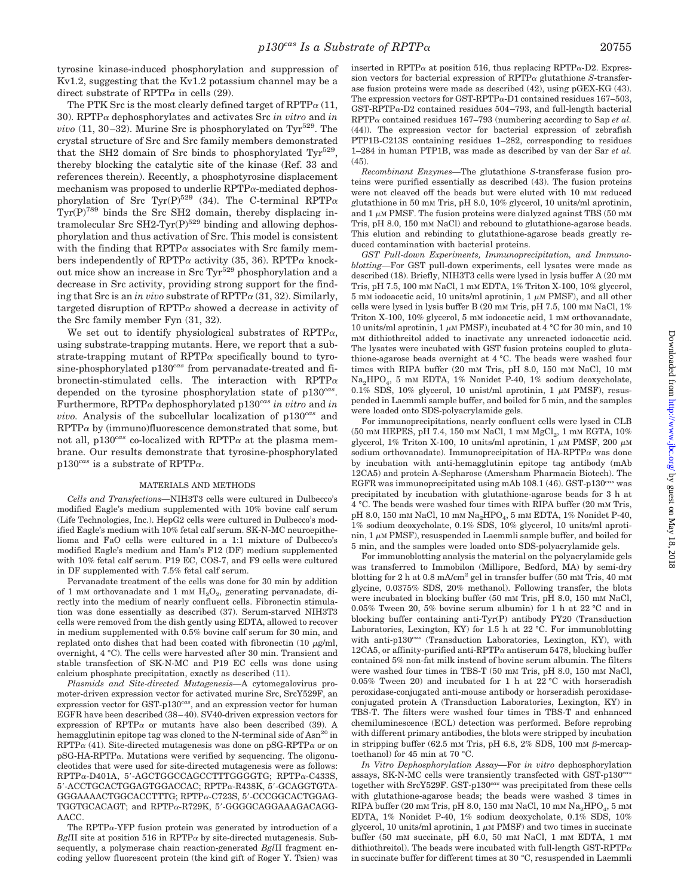tyrosine kinase-induced phosphorylation and suppression of Kv1.2, suggesting that the Kv1.2 potassium channel may be a direct substrate of RPTP $\alpha$  in cells (29).

The PTK Src is the most clearly defined target of  $RPTP\alpha$  (11, 30). RPTP<sup>a</sup> dephosphorylates and activates Src *in vitro* and *in vivo*  $(11, 30-32)$ . Murine Src is phosphorylated on Tyr<sup>529</sup>. The crystal structure of Src and Src family members demonstrated that the SH2 domain of Src binds to phosphorylated  $Tyr^{529}$ thereby blocking the catalytic site of the kinase (Ref. 33 and references therein). Recently, a phosphotyrosine displacement mechanism was proposed to underlie  $RPTP\alpha$ -mediated dephosphorylation of Src Tyr(P)<sup>529</sup> (34). The C-terminal RPTP $\alpha$  $Tyr(P)<sup>789</sup>$  binds the Src SH2 domain, thereby displacing intramolecular Src SH2-Tyr $(P)^{529}$  binding and allowing dephosphorylation and thus activation of Src. This model is consistent with the finding that  $RPTP\alpha$  associates with Src family members independently of RPTP $\alpha$  activity (35, 36). RPTP $\alpha$  knockout mice show an increase in Src Tyr<sup>529</sup> phosphorylation and a decrease in Src activity, providing strong support for the finding that Src is an *in vivo* substrate of  $RPTP\alpha$  (31, 32). Similarly, targeted disruption of  $RPTP\alpha$  showed a decrease in activity of the Src family member Fyn (31, 32).

We set out to identify physiological substrates of RPTP $\alpha$ , using substrate-trapping mutants. Here, we report that a substrate-trapping mutant of  $RPTP\alpha$  specifically bound to tyrosine-phosphorylated p130*cas* from pervanadate-treated and fibronectin-stimulated cells. The interaction with  $RPTP\alpha$ depended on the tyrosine phosphorylation state of p130*cas*. Furthermore, RPTP<sup>a</sup> dephosphorylated p130*cas in vitro* and *in vivo.* Analysis of the subcellular localization of p130*cas* and  $RPTP\alpha$  by (immuno)fluorescence demonstrated that some, but not all,  $p130^{cas}$  co-localized with RPTP $\alpha$  at the plasma membrane. Our results demonstrate that tyrosine-phosphorylated p130 $^{cas}$  is a substrate of RPTP $\alpha$ .

#### MATERIALS AND METHODS

*Cells and Transfections—*NIH3T3 cells were cultured in Dulbecco's modified Eagle's medium supplemented with 10% bovine calf serum (Life Technologies, Inc.). HepG2 cells were cultured in Dulbecco's modified Eagle's medium with 10% fetal calf serum. SK-N-MC neuroepithelioma and FaO cells were cultured in a 1:1 mixture of Dulbecco's modified Eagle's medium and Ham's F12 (DF) medium supplemented with 10% fetal calf serum. P19 EC, COS-7, and F9 cells were cultured in DF supplemented with 7.5% fetal calf serum.

Pervanadate treatment of the cells was done for 30 min by addition of 1 mM orthovanadate and 1 mM  $H<sub>2</sub>O<sub>2</sub>$ , generating pervanadate, directly into the medium of nearly confluent cells. Fibronectin stimulation was done essentially as described (37). Serum-starved NIH3T3 cells were removed from the dish gently using EDTA, allowed to recover in medium supplemented with 0.5% bovine calf serum for 30 min, and replated onto dishes that had been coated with fibronectin (10  $\mu$ g/ml, overnight, 4 °C). The cells were harvested after 30 min. Transient and stable transfection of SK-N-MC and P19 EC cells was done using calcium phosphate precipitation, exactly as described (11).

*Plasmids and Site-directed Mutagenesis—*A cytomegalovirus promoter-driven expression vector for activated murine Src, SrcY529F, an expression vector for GST-p130*cas*, and an expression vector for human EGFR have been described (38–40). SV40-driven expression vectors for expression of RPTP $\alpha$  or mutants have also been described (39). A hemagglutinin epitope tag was cloned to the N-terminal side of  $\text{Asn}^{20}$  in RPTP $\alpha$  (41). Site-directed mutagenesis was done on pSG-RPTP $\alpha$  or on  $pSG-HA-RPTP\alpha$ . Mutations were verified by sequencing. The oligonucleotides that were used for site-directed mutagenesis were as follows:  $RPTP\alpha-D401A$ , 5'-AGCTGGCCAGCCTTTGGGGTG;  $RPTP\alpha-C433S$ , 5'-ACCTGCACTGGAGTGGACCAC; RPTPa-R438K, 5'-GCAGGTGTA-GGGAAAACTGGCACCTTTG; RPTPa-C723S, 5'-CCCGGCACTGGAG- $TGGTGCACAGT$ ; and  $RPTP\alpha$ -R729K, 5'-GGGGCAGGAAAGACAGG-AACC.

The RPTP $\alpha$ -YFP fusion protein was generated by introduction of a  $Bg$ <sup>III</sup> site at position 516 in RPTP $\alpha$  by site-directed mutagenesis. Subsequently, a polymerase chain reaction-generated *Bgl*II fragment encoding yellow fluorescent protein (the kind gift of Roger Y. Tsien) was

inserted in RPTP $\alpha$  at position 516, thus replacing RPTP $\alpha$ -D2. Expression vectors for bacterial expression of  $RPTP\alpha$  glutathione *S*-transferase fusion proteins were made as described (42), using pGEX-KG (43). The expression vectors for GST-RPTP $\alpha$ -D1 contained residues 167–503, GST-RPTPa-D2 contained residues 504–793, and full-length bacterial RPTP<sup>a</sup> contained residues 167–793 (numbering according to Sap *et al.* (44)). The expression vector for bacterial expression of zebrafish PTP1B-C213S containing residues 1–282, corresponding to residues 1–284 in human PTP1B, was made as described by van der Sar *et al.*  $(45)$ 

*Recombinant Enzymes—*The glutathione *S*-transferase fusion proteins were purified essentially as described (43). The fusion proteins were not cleaved off the beads but were eluted with 10 mM reduced glutathione in 50 mM Tris, pH 8.0, 10% glycerol, 10 units/ml aprotinin, and  $1 \mu$ M PMSF. The fusion proteins were dialyzed against TBS (50 mm) Tris, pH 8.0, 150 mM NaCl) and rebound to glutathione-agarose beads. This elution and rebinding to glutathione-agarose beads greatly reduced contamination with bacterial proteins.

*GST Pull-down Experiments, Immunoprecipitation, and Immunoblotting—*For GST pull-down experiments, cell lysates were made as described (18). Briefly, NIH3T3 cells were lysed in lysis buffer A (20 mM Tris, pH 7.5, 100 mM NaCl, 1 mM EDTA, 1% Triton X-100, 10% glycerol,  $5 \text{ mm}$  iodoacetic acid, 10 units/ml aprotinin, 1  $\mu$ M PMSF), and all other cells were lysed in lysis buffer B (20 mM Tris, pH 7.5, 100 mM NaCl, 1% Triton X-100, 10% glycerol, 5 mM iodoacetic acid, 1 mM orthovanadate, 10 units/ml aprotinin, 1  $\mu$ M PMSF), incubated at 4 °C for 30 min, and 10 mM dithiothreitol added to inactivate any unreacted iodoacetic acid. The lysates were incubated with GST fusion proteins coupled to glutathione-agarose beads overnight at 4 °C. The beads were washed four times with RIPA buffer (20 mM Tris, pH 8.0, 150 mM NaCl, 10 mM Na<sub>2</sub>HPO<sub>4</sub>, 5 mM EDTA, 1% Nonidet P-40, 1% sodium deoxycholate, 0.1% SDS, 10% glycerol, 10 unist/ml aprotinin, 1  $\mu$ M PMSF), resuspended in Laemmli sample buffer, and boiled for 5 min, and the samples were loaded onto SDS-polyacrylamide gels.

For immunoprecipitations, nearly confluent cells were lysed in CLB (50 mm HEPES, pH 7.4, 150 mm NaCl, 1 mm  $MgCl<sub>2</sub>$ , 1 mm EGTA, 10% glycerol, 1% Triton X-100, 10 units/ml aprotinin, 1  $\mu$ M PMSF, 200  $\mu$ M sodium orthovanadate). Immunoprecipitation of  $HA-RPTP\alpha$  was done by incubation with anti-hemagglutinin epitope tag antibody (mAb 12CA5) and protein A-Sepharose (Amersham Pharmacia Biotech). The EGFR was immunoprecipitated using mAb 108.1 (46). GST-p130*cas* was precipitated by incubation with glutathione-agarose beads for 3 h at 4 °C. The beads were washed four times with RIPA buffer (20 mM Tris, pH 8.0, 150 mM NaCl, 10 mM Na<sub>2</sub>HPO<sub>4</sub>, 5 mM EDTA, 1% Nonidet P-40, 1% sodium deoxycholate, 0.1% SDS, 10% glycerol, 10 units/ml aprotinin,  $1 \mu$ M PMSF), resuspended in Laemmli sample buffer, and boiled for 5 min, and the samples were loaded onto SDS-polyacrylamide gels.

For immunoblotting analysis the material on the polyacrylamide gels was transferred to Immobilon (Millipore, Bedford, MA) by semi-dry blotting for 2 h at  $0.8 \text{ mA/cm}^2$  gel in transfer buffer (50 mM Tris, 40 mM glycine, 0.0375% SDS, 20% methanol). Following transfer, the blots were incubated in blocking buffer (50 mM Tris, pH 8.0, 150 mM NaCl, 0.05% Tween 20, 5% bovine serum albumin) for 1 h at 22 °C and in blocking buffer containing anti-Tyr(P) antibody PY20 (Transduction Laboratories, Lexington, KY) for 1.5 h at 22 °C. For immunoblotting with anti-p130*cas* (Transduction Laboratories, Lexington, KY), with 12CA5, or affinity-purified anti-RPTP $\alpha$  antiserum 5478, blocking buffer contained 5% non-fat milk instead of bovine serum albumin. The filters were washed four times in TBS-T (50 mM Tris, pH 8.0, 150 mM NaCl, 0.05% Tween 20) and incubated for 1 h at 22 °C with horseradish peroxidase-conjugated anti-mouse antibody or horseradish peroxidaseconjugated protein A (Transduction Laboratories, Lexington, KY) in TBS-T. The filters were washed four times in TBS-T and enhanced chemiluminescence (ECL) detection was performed. Before reprobing with different primary antibodies, the blots were stripped by incubation in stripping buffer (62.5 mM Tris, pH 6.8, 2% SDS, 100 mM  $\beta$ -mercaptoethanol) for 45 min at 70 °C.

*In Vitro Dephosphorylation Assay—*For *in vitro* dephosphorylation assays, SK-N-MC cells were transiently transfected with GST-p130*cas* together with SrcY529F. GST-p130*cas* was precipitated from these cells with glutathione-agarose beads; the beads were washed 3 times in RIPA buffer (20 mm Tris, pH 8.0, 150 mm NaCl, 10 mm  $\text{Na}_2\text{HPO}_4$ , 5 mm EDTA, 1% Nonidet P-40, 1% sodium deoxycholate, 0.1% SDS, 10% glycerol, 10 units/ml aprotinin,  $1 \mu M$  PMSF) and two times in succinate buffer (50 mM succinate, pH 6.0, 50 mM NaCl, 1 mM EDTA, 1 mM dithiothreitol). The beads were incubated with full-length GST-RPTP $\alpha$ in succinate buffer for different times at 30 °C, resuspended in Laemmli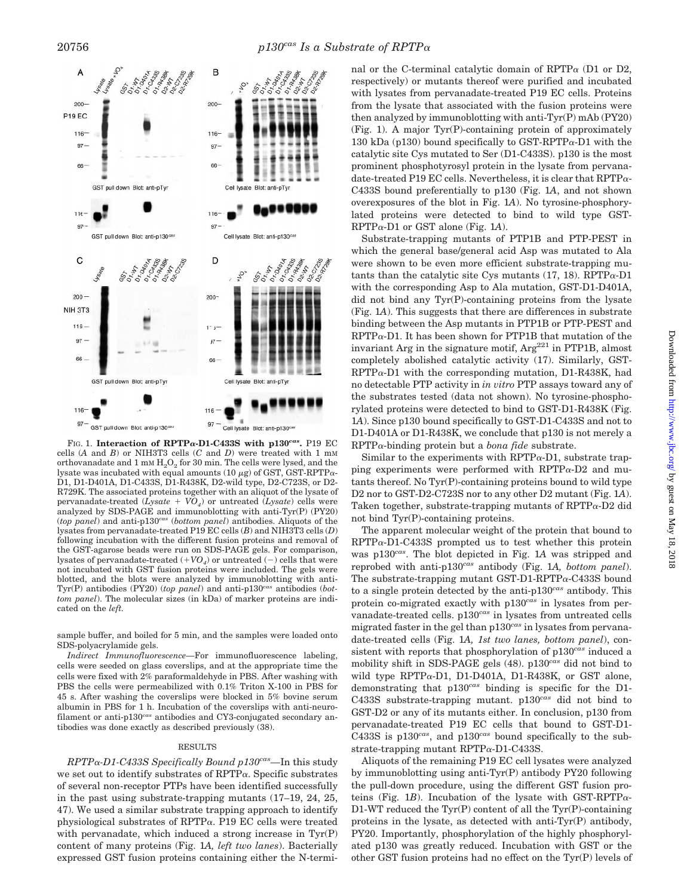

FIG. 1. **Interaction of RPTP**a**-D1-C433S with p130***cas***.** P19 EC cells (*A* and *B*) or NIH3T3 cells (*C* and *D*) were treated with 1 mM orthovanadate and  $1 \text{ mm H}_2\text{O}_2$  for 30 min. The cells were lysed, and the lysate was incubated with equal amounts (10  $\mu$ g) of GST, GST-RPTP $\alpha$ -D1, D1-D401A, D1-C433S, D1-R438K, D2-wild type, D2-C723S, or D2- R729K. The associated proteins together with an aliquot of the lysate of pervanadate-treated  $(Lysate + VO<sub>4</sub>)$  or untreated  $(Lysate)$  cells were analyzed by SDS-PAGE and immunoblotting with anti-Tyr(P) (PY20) (*top panel*) and anti-p130*cas* (*bottom panel*) antibodies. Aliquots of the lysates from pervanadate-treated P19 EC cells (*B*) and NIH3T3 cells (*D*) following incubation with the different fusion proteins and removal of the GST-agarose beads were run on SDS-PAGE gels. For comparison, lysates of pervanadate-treated  $(+VO<sub>4</sub>)$  or untreated  $(-)$  cells that were not incubated with GST fusion proteins were included. The gels were blotted, and the blots were analyzed by immunoblotting with anti-Tyr(P) antibodies (PY20) (*top panel*) and anti-p130*cas* antibodies (*bottom panel*). The molecular sizes (in kDa) of marker proteins are indicated on the *left.*

sample buffer, and boiled for 5 min, and the samples were loaded onto SDS-polyacrylamide gels.

*Indirect Immunofluorescence—*For immunofluorescence labeling, cells were seeded on glass coverslips, and at the appropriate time the cells were fixed with 2% paraformaldehyde in PBS. After washing with PBS the cells were permeabilized with 0.1% Triton X-100 in PBS for 45 s. After washing the coverslips were blocked in 5% bovine serum albumin in PBS for 1 h. Incubation of the coverslips with anti-neurofilament or anti-p130*cas* antibodies and CY3-conjugated secondary antibodies was done exactly as described previously (38).

#### RESULTS

*RPTP*a*-D1-C433S Specifically Bound p130cas—*In this study we set out to identify substrates of  $RPTP\alpha$ . Specific substrates of several non-receptor PTPs have been identified successfully in the past using substrate-trapping mutants (17–19, 24, 25, 47). We used a similar substrate trapping approach to identify physiological substrates of RPTPa. P19 EC cells were treated with pervanadate, which induced a strong increase in Tyr(P) content of many proteins (Fig. 1*A, left two lanes*). Bacterially expressed GST fusion proteins containing either the N-terminal or the C-terminal catalytic domain of RPTP $\alpha$  (D1 or D2, respectively) or mutants thereof were purified and incubated with lysates from pervanadate-treated P19 EC cells. Proteins from the lysate that associated with the fusion proteins were then analyzed by immunoblotting with anti-Tyr(P) mAb (PY20) (Fig. 1). A major Tyr(P)-containing protein of approximately 130 kDa (p130) bound specifically to GST-RPTP $\alpha$ -D1 with the catalytic site Cys mutated to Ser (D1-C433S). p130 is the most prominent phosphotyrosyl protein in the lysate from pervanadate-treated P19 EC cells. Nevertheless, it is clear that  $RPTP\alpha$ -C433S bound preferentially to p130 (Fig. 1*A*, and not shown overexposures of the blot in Fig. 1*A*). No tyrosine-phosphorylated proteins were detected to bind to wild type GST- $RPTP\alpha-D1$  or GST alone (Fig. 1*A*).

Substrate-trapping mutants of PTP1B and PTP-PEST in which the general base/general acid Asp was mutated to Ala were shown to be even more efficient substrate-trapping mutants than the catalytic site Cys mutants (17, 18). RPTP $\alpha$ -D1 with the corresponding Asp to Ala mutation, GST-D1-D401A, did not bind any Tyr(P)-containing proteins from the lysate (Fig. 1*A*). This suggests that there are differences in substrate binding between the Asp mutants in PTP1B or PTP-PEST and  $RPTP\alpha$ -D1. It has been shown for PTP1B that mutation of the invariant Arg in the signature motif,  $Arg<sup>221</sup>$  in PTP1B, almost completely abolished catalytic activity (17). Similarly, GST- $RPTP\alpha$ -D1 with the corresponding mutation, D1-R438K, had no detectable PTP activity in *in vitro* PTP assays toward any of the substrates tested (data not shown). No tyrosine-phosphorylated proteins were detected to bind to GST-D1-R438K (Fig. 1*A*). Since p130 bound specifically to GST-D1-C433S and not to D1-D401A or D1-R438K, we conclude that p130 is not merely a RPTPa-binding protein but a *bona fide* substrate.

Similar to the experiments with  $RPTP\alpha-D1$ , substrate trapping experiments were performed with  $RPTP\alpha-D2$  and mutants thereof. No Tyr(P)-containing proteins bound to wild type D2 nor to GST-D2-C723S nor to any other D2 mutant (Fig. 1*A*). Taken together, substrate-trapping mutants of  $RPTP\alpha-D2$  did not bind Tyr(P)-containing proteins.

The apparent molecular weight of the protein that bound to  $RPTP\alpha-D1-C433S$  prompted us to test whether this protein was p130*cas*. The blot depicted in Fig. 1*A* was stripped and reprobed with anti-p130*cas* antibody (Fig. 1*A, bottom panel*). The substrate-trapping mutant GST-D1-RPTP $\alpha$ -C433S bound to a single protein detected by the anti-p130*cas* antibody. This protein co-migrated exactly with p130*cas* in lysates from pervanadate-treated cells. p130*cas* in lysates from untreated cells migrated faster in the gel than p130*cas* in lysates from pervanadate-treated cells (Fig. 1*A, 1st two lanes, bottom panel*), consistent with reports that phosphorylation of p130*cas* induced a mobility shift in SDS-PAGE gels (48). p130*cas* did not bind to wild type RPTPa-D1, D1-D401A, D1-R438K, or GST alone, demonstrating that p130*cas* binding is specific for the D1- C433S substrate-trapping mutant. p130*cas* did not bind to GST-D2 or any of its mutants either. In conclusion, p130 from pervanadate-treated P19 EC cells that bound to GST-D1- C433S is p130*cas*, and p130*cas* bound specifically to the substrate-trapping mutant  $RPTP\alpha-D1-C433S$ .

Aliquots of the remaining P19 EC cell lysates were analyzed by immunoblotting using anti-Tyr(P) antibody PY20 following the pull-down procedure, using the different GST fusion proteins (Fig. 1*B*). Incubation of the lysate with GST-RPTP $\alpha$ -D1-WT reduced the Tyr(P) content of all the Tyr(P)-containing proteins in the lysate, as detected with anti-Tyr(P) antibody, PY20. Importantly, phosphorylation of the highly phosphorylated p130 was greatly reduced. Incubation with GST or the other GST fusion proteins had no effect on the Tyr(P) levels of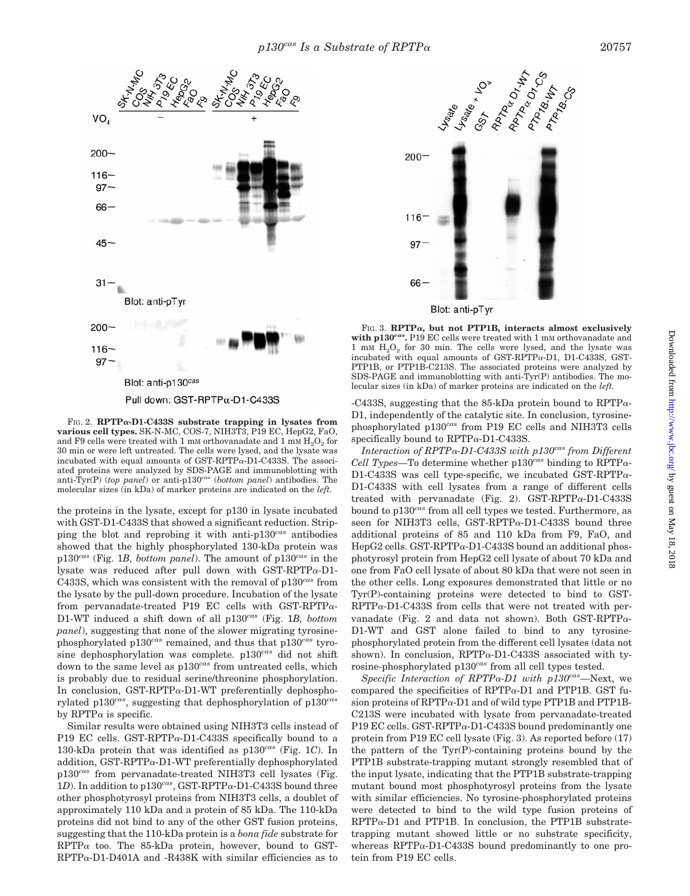

FIG. 2. **RPTP**a**-D1-C433S substrate trapping in lysates from various cell types.** SK-N-MC, COS-7, NIH3T3, P19 EC, HepG2, FaO, and F9 cells were treated with 1 mM orthovanadate and 1 mM  $H_2O_2$  for 30 min or were left untreated. The cells were lysed, and the lysate was incubated with equal amounts of GST-RPTP $\alpha$ -D1-C433S. The associated proteins were analyzed by SDS-PAGE and immunoblotting with anti-Tyr(P) (*top panel*) or anti-p130*cas* (*bottom panel*) antibodies. The molecular sizes (in kDa) of marker proteins are indicated on the *left.*

the proteins in the lysate, except for p130 in lysate incubated with GST-D1-C433S that showed a significant reduction. Stripping the blot and reprobing it with anti-p130*cas* antibodies showed that the highly phosphorylated 130-kDa protein was p130*cas* (Fig. 1*B, bottom panel*). The amount of p130*cas* in the lysate was reduced after pull down with  $GST-RPTP\alpha-D1$ -C433S, which was consistent with the removal of p130*cas* from the lysate by the pull-down procedure. Incubation of the lysate from pervanadate-treated P19 EC cells with GST-RPTP $\alpha$ -D1-WT induced a shift down of all p130*cas* (Fig. 1*B, bottom panel*), suggesting that none of the slower migrating tyrosinephosphorylated p130*cas* remained, and thus that p130*cas* tyrosine dephosphorylation was complete. p130*cas* did not shift down to the same level as p130*cas* from untreated cells, which is probably due to residual serine/threonine phosphorylation. In conclusion, GST-RPTP $\alpha$ -D1-WT preferentially dephosphorylated p130*cas*, suggesting that dephosphorylation of p130*cas* by RPTP $\alpha$  is specific.

Similar results were obtained using NIH3T3 cells instead of P19 EC cells. GST-RPTP $\alpha$ -D1-C433S specifically bound to a 130-kDa protein that was identified as p130*cas* (Fig. 1*C*). In addition, GST-RPTP $\alpha$ -D1-WT preferentially dephosphorylated p130*cas* from pervanadate-treated NIH3T3 cell lysates (Fig. 1*D*). In addition to p130*cas*, GST-RPTPa-D1-C433S bound three other phosphotyrosyl proteins from NIH3T3 cells, a doublet of approximately 110 kDa and a protein of 85 kDa. The 110-kDa proteins did not bind to any of the other GST fusion proteins, suggesting that the 110-kDa protein is a *bona fide* substrate for  $RPTP\alpha$  too. The 85-kDa protein, however, bound to GST- $RPTP\alpha$ -D1-D401A and -R438K with similar efficiencies as to



FIG. 3. **RPTP**a**, but not PTP1B, interacts almost exclusively with p130***cas***.** P19 EC cells were treated with 1 mM orthovanadate and 1 mM  $H<sub>2</sub>O<sub>2</sub>$  for 30 min. The cells were lysed, and the lysate was incubated with equal amounts of GST-RPTPa-D1, D1-C433S, GST-PTP1B, or PTP1B-C213S. The associated proteins were analyzed by SDS-PAGE and immunoblotting with anti-Tyr(P) antibodies. The molecular sizes (in kDa) of marker proteins are indicated on the *left.*

-C433S, suggesting that the 85-kDa protein bound to RPTP $\alpha$ -D1, independently of the catalytic site. In conclusion, tyrosinephosphorylated p130*cas* from P19 EC cells and NIH3T3 cells specifically bound to  $RPTP\alpha-D1-C433S$ .

*Interaction of RPTP*a*-D1-C433S with p130cas from Different Cell Types*—To determine whether  $p130^{cas}$  binding to RPTP $\alpha$ -D1-C433S was cell type-specific, we incubated GST-RPTP $\alpha$ -D1-C433S with cell lysates from a range of different cells treated with pervanadate (Fig. 2). GST-RPTP $\alpha$ -D1-C433S bound to p130*cas* from all cell types we tested. Furthermore, as seen for NIH3T3 cells, GST-RPTPa-D1-C433S bound three additional proteins of 85 and 110 kDa from F9, FaO, and  $HepG2$  cells. GST-RPTP $\alpha$ -D1-C433S bound an additional phosphotyrosyl protein from HepG2 cell lysate of about 70 kDa and one from FaO cell lysate of about 80 kDa that were not seen in the other cells. Long exposures demonstrated that little or no Tyr(P)-containing proteins were detected to bind to GST-RPTPa-D1-C433S from cells that were not treated with pervanadate (Fig. 2 and data not shown). Both GST-RPTP $\alpha$ -D1-WT and GST alone failed to bind to any tyrosinephosphorylated protein from the different cell lysates (data not shown). In conclusion,  $RPTP\alpha-D1-C433S$  associated with tyrosine-phosphorylated p130*cas* from all cell types tested.

*Specific Interaction of RPTP*a*-D1 with p130cas—*Next, we compared the specificities of  $RPTP\alpha-D1$  and PTP1B. GST fusion proteins of RPTP $\alpha$ -D1 and of wild type PTP1B and PTP1B-C213S were incubated with lysate from pervanadate-treated P19 EC cells. GST-RPTP $\alpha$ -D1-C433S bound predominantly one protein from P19 EC cell lysate (Fig. 3). As reported before (17) the pattern of the Tyr(P)-containing proteins bound by the PTP1B substrate-trapping mutant strongly resembled that of the input lysate, indicating that the PTP1B substrate-trapping mutant bound most phosphotyrosyl proteins from the lysate with similar efficiencies. No tyrosine-phosphorylated proteins were detected to bind to the wild type fusion proteins of RPTPa-D1 and PTP1B. In conclusion, the PTP1B substratetrapping mutant showed little or no substrate specificity, whereas RPTP $\alpha$ -D1-C433S bound predominantly to one protein from P19 EC cells.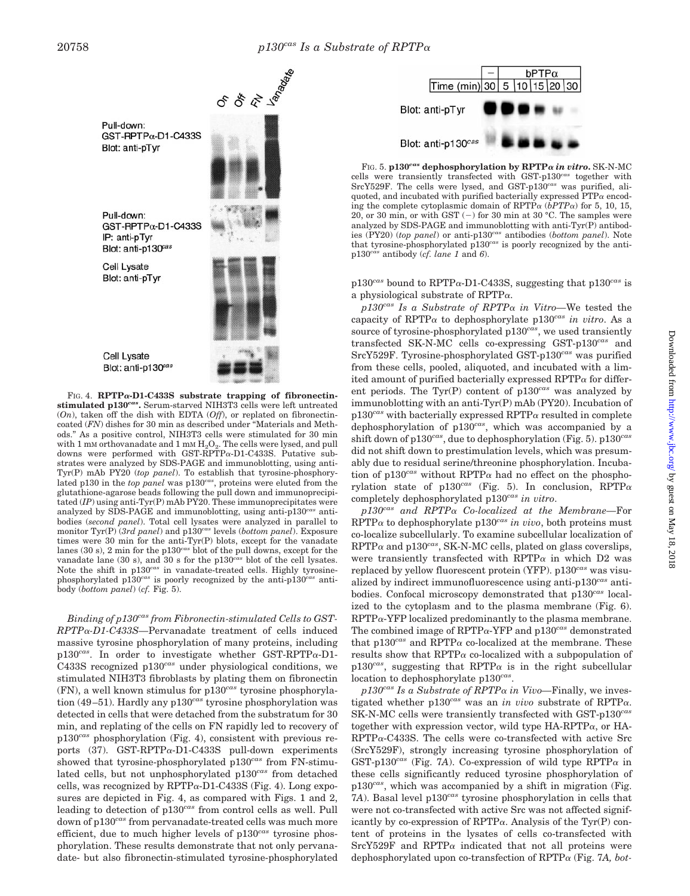

FIG. 4. **RPTP**a**-D1-C433S substrate trapping of fibronectinstimulated p130***cas***.** Serum-starved NIH3T3 cells were left untreated (*On*), taken off the dish with EDTA (*Off*), or replated on fibronectincoated (*FN*) dishes for 30 min as described under "Materials and Methods." As a positive control, NIH3T3 cells were stimulated for 30 min with 1 mM orthovanadate and 1 mM  $H<sub>2</sub>O<sub>2</sub>$ . The cells were lysed, and pull downs were performed with GST-RPTPa-D1-C433S. Putative substrates were analyzed by SDS-PAGE and immunoblotting, using anti-Tyr(P) mAb PY20 (*top panel*). To establish that tyrosine-phosphorylated p130 in the *top panel* was p130*cas*, proteins were eluted from the glutathione-agarose beads following the pull down and immunoprecipitated (*IP*) using anti-Tyr(P) mAb PY20. These immunoprecipitates were analyzed by SDS-PAGE and immunoblotting, using anti-p130*cas* antibodies (*second panel*). Total cell lysates were analyzed in parallel to monitor Tyr(P) (*3rd panel*) and p130*cas* levels (*bottom panel*). Exposure times were 30 min for the anti-Tyr(P) blots, except for the vanadate lanes (30 s), 2 min for the p130*cas* blot of the pull downs, except for the vanadate lane (30 s), and 30 s for the p130*cas* blot of the cell lysates. Note the shift in p130*cas* in vanadate-treated cells. Highly tyrosinephosphorylated p130*cas* is poorly recognized by the anti-p130*cas* antibody (*bottom panel*) (*cf.* Fig. 5).

*Binding of p130cas from Fibronectin-stimulated Cells to GST-RPTP*a*-D1-C433S—*Pervanadate treatment of cells induced massive tyrosine phosphorylation of many proteins, including p130*cas*. In order to investigate whether GST-RPTPa-D1- C433S recognized p130*cas* under physiological conditions, we stimulated NIH3T3 fibroblasts by plating them on fibronectin (FN), a well known stimulus for p130*cas* tyrosine phosphorylation (49–51). Hardly any p130*cas* tyrosine phosphorylation was detected in cells that were detached from the substratum for 30 min, and replating of the cells on FN rapidly led to recovery of p130*cas* phosphorylation (Fig. 4), consistent with previous reports (37). GST-RPTP $\alpha$ -D1-C433S pull-down experiments showed that tyrosine-phosphorylated p130*cas* from FN-stimulated cells, but not unphosphorylated p130*cas* from detached cells, was recognized by  $RPTP\alpha-D1-C433S$  (Fig. 4). Long exposures are depicted in Fig. 4, as compared with Figs. 1 and 2, leading to detection of p130*cas* from control cells as well. Pull down of p130*cas* from pervanadate-treated cells was much more efficient, due to much higher levels of p130*cas* tyrosine phosphorylation. These results demonstrate that not only pervanadate- but also fibronectin-stimulated tyrosine-phosphorylated



FIG. 5. **p130***cas* **dephosphorylation by RPTP**<sup>a</sup> *in vitro***.** SK-N-MC cells were transiently transfected with GST-p130*cas* together with SrcY529F. The cells were lysed, and GST-p130*cas* was purified, aliquoted, and incubated with purified bacterially expressed  $PTP\alpha$  encoding the complete cytoplasmic domain of  $RPTP\alpha$  ( $bPTP\alpha$ ) for 5, 10, 15, 20, or 30 min, or with GST  $(-)$  for 30 min at 30 °C. The samples were analyzed by SDS-PAGE and immunoblotting with anti-Tyr(P) antibodies (PY20) (*top panel*) or anti-p130*cas* antibodies (*bottom panel*). Note that tyrosine-phosphorylated p130*cas* is poorly recognized by the antip130*cas* antibody (*cf. lane 1* and *6*).

p130*cas* bound to RPTPa-D1-C433S, suggesting that p130*cas* is a physiological substrate of RPTP $\alpha$ .

*p130cas Is a Substrate of RPTP*<sup>a</sup> *in Vitro—*We tested the capacity of RPTP $\alpha$  to dephosphorylate p130<sup>cas</sup> in vitro. As a source of tyrosine-phosphorylated p130*cas*, we used transiently transfected SK-N-MC cells co-expressing GST-p130*cas* and SrcY529F. Tyrosine-phosphorylated GST-p130*cas* was purified from these cells, pooled, aliquoted, and incubated with a limited amount of purified bacterially expressed  $RPTP\alpha$  for different periods. The Tyr(P) content of p130*cas* was analyzed by immunoblotting with an anti-Tyr(P) mAb (PY20). Incubation of  $p130^{cas}$  with bacterially expressed RPTP $\alpha$  resulted in complete dephosphorylation of p130*cas*, which was accompanied by a shift down of p130*cas*, due to dephosphorylation (Fig. 5). p130*cas* did not shift down to prestimulation levels, which was presumably due to residual serine/threonine phosphorylation. Incubation of  $p130^{cas}$  without RPTP $\alpha$  had no effect on the phosphorylation state of  $p130^{cas}$  (Fig. 5). In conclusion, RPTP $\alpha$ completely dephosphorylated p130*cas in vitro*.

*p130cas and RPTP*<sup>a</sup> *Co-localized at the Membrane—*For  $RPTP\alpha$  to dephosphorylate p130<sup>cas</sup> in vivo, both proteins must co-localize subcellularly. To examine subcellular localization of  $RPTP\alpha$  and  $p130^{cas}$ , SK-N-MC cells, plated on glass coverslips, were transiently transfected with  $RPTP\alpha$  in which D2 was replaced by yellow fluorescent protein (YFP). p130*cas* was visualized by indirect immunofluorescence using anti-p130*cas* antibodies. Confocal microscopy demonstrated that p130*cas* localized to the cytoplasm and to the plasma membrane (Fig. 6).  $RPTP\alpha$ -YFP localized predominantly to the plasma membrane. The combined image of RPTPa-YFP and p130*cas* demonstrated that  $p130^{cas}$  and RPTP $\alpha$  co-localized at the membrane. These results show that RPTP $\alpha$  co-localized with a subpopulation of  $p130^{cas}$ , suggesting that RPTP $\alpha$  is in the right subcellular location to dephosphorylate p130*cas*.

 $p130<sup>cas</sup>$  *Is a Substrate of RPTP* $\alpha$  *in Vivo*—Finally, we investigated whether p130*cas* was an *in vivo* substrate of RPTPa. SK-N-MC cells were transiently transfected with GST-p130*cas* together with expression vector, wild type  $HA-RPTP\alpha$ , or  $HA$ -RPTPa-C433S. The cells were co-transfected with active Src (SrcY529F), strongly increasing tyrosine phosphorylation of GST-p130 $^{cas}$  (Fig. 7A). Co-expression of wild type RPTP $\alpha$  in these cells significantly reduced tyrosine phosphorylation of p130*cas*, which was accompanied by a shift in migration (Fig. 7*A*). Basal level p130*cas* tyrosine phosphorylation in cells that were not co-transfected with active Src was not affected significantly by co-expression of RPTP $\alpha$ . Analysis of the Tyr(P) content of proteins in the lysates of cells co-transfected with  $SrCY529F$  and  $RPTP\alpha$  indicated that not all proteins were dephosphorylated upon co-transfection of RPTP<sup>a</sup> (Fig. 7*A, bot-*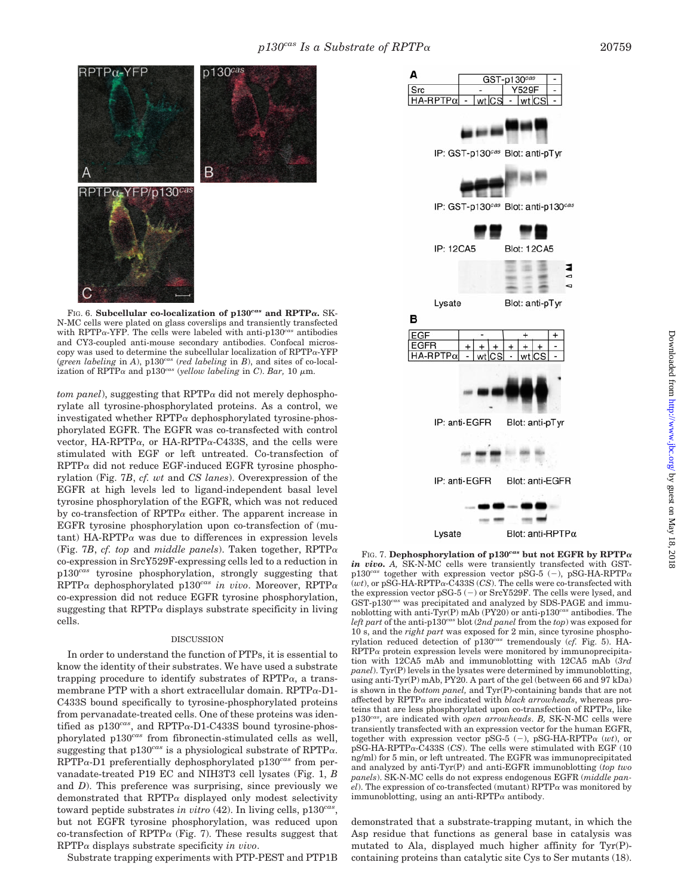

FIG. 6. **Subcellular co-localization of p130***cas* **and RPTP**a**.** SK-N-MC cells were plated on glass coverslips and transiently transfected with RPTPa-YFP. The cells were labeled with anti-p130*cas* antibodies and CY3-coupled anti-mouse secondary antibodies. Confocal microscopy was used to determine the subcellular localization of  $RPTP\alpha$ -YFP (*green labeling* in *A*), p130*cas* (*red labeling* in *B*), and sites of co-localization of RPTP $\alpha$  and p130<sup>cas</sup> (yellow labeling in *C*). *Bar*, 10  $\mu$ m.

*tom panel*), suggesting that  $RPTP\alpha$  did not merely dephosphorylate all tyrosine-phosphorylated proteins. As a control, we investigated whether  $RPTP\alpha$  dephosphorylated tyrosine-phosphorylated EGFR. The EGFR was co-transfected with control vector, HA-RPTP $\alpha$ , or HA-RPTP $\alpha$ -C433S, and the cells were stimulated with EGF or left untreated. Co-transfection of  $RPTP\alpha$  did not reduce EGF-induced EGFR tyrosine phosphorylation (Fig. 7*B*, *cf. wt* and *CS lanes*). Overexpression of the EGFR at high levels led to ligand-independent basal level tyrosine phosphorylation of the EGFR, which was not reduced by co-transfection of RPTP $\alpha$  either. The apparent increase in EGFR tyrosine phosphorylation upon co-transfection of (mutant) HA-RPTP $\alpha$  was due to differences in expression levels (Fig. 7*B*, *cf. top* and *middle panels*). Taken together,  $RPTP\alpha$ co-expression in SrcY529F-expressing cells led to a reduction in p130*cas* tyrosine phosphorylation, strongly suggesting that RPTP<sup>a</sup> dephosphorylated p130*cas in vivo*. Moreover, RPTP<sup>a</sup> co-expression did not reduce EGFR tyrosine phosphorylation, suggesting that  $RPTP\alpha$  displays substrate specificity in living cells.

#### **DISCUSSION**

In order to understand the function of PTPs, it is essential to know the identity of their substrates. We have used a substrate trapping procedure to identify substrates of  $RPTP\alpha$ , a transmembrane PTP with a short extracellular domain.  $RPTP\alpha-D1$ -C433S bound specifically to tyrosine-phosphorylated proteins from pervanadate-treated cells. One of these proteins was identified as p130*cas*, and RPTPa-D1-C433S bound tyrosine-phosphorylated p130*cas* from fibronectin-stimulated cells as well, suggesting that  $p130^{cas}$  is a physiological substrate of RPTP $\alpha$ . RPTPa-D1 preferentially dephosphorylated p130*cas* from pervanadate-treated P19 EC and NIH3T3 cell lysates (Fig. 1, *B* and *D*). This preference was surprising, since previously we demonstrated that  $RPTP\alpha$  displayed only modest selectivity toward peptide substrates *in vitro* (42). In living cells, p130*cas*, but not EGFR tyrosine phosphorylation, was reduced upon co-transfection of RPTP $\alpha$  (Fig. 7). These results suggest that RPTP<sup>a</sup> displays substrate specificity *in vivo*.

Substrate trapping experiments with PTP-PEST and PTP1B



FIG. 7. **Dephosphorylation of p130***cas* **but not EGFR by RPTP**<sup>a</sup> *in vivo***.** *A,* SK-N-MC cells were transiently transfected with GSTp130<sup>cas</sup> together with expression vector pSG-5 (-), pSG-HA-RPTP $\alpha$  $(wt)$ , or pSG-HA-RPTP $\alpha$ -C433S (*CS*). The cells were co-transfected with the expression vector pSG-5  $(-)$  or SrcY529F. The cells were lysed, and GST-p130*cas* was precipitated and analyzed by SDS-PAGE and immunoblotting with anti-Tyr(P) mAb (PY20) or anti-p130*cas* antibodies. The *left part* of the anti-p130*cas* blot (*2nd panel* from the *top*) was exposed for 10 s, and the *right part* was exposed for 2 min, since tyrosine phosphorylation reduced detection of p130*cas* tremendously (*cf.* Fig. 5). HA- $RPTP\alpha$  protein expression levels were monitored by immunoprecipitation with 12CA5 mAb and immunoblotting with 12CA5 mAb (*3rd panel*). Tyr(P) levels in the lysates were determined by immunoblotting, using anti-Tyr(P) mAb, PY20. A part of the gel (between 66 and 97 kDa) is shown in the *bottom panel,* and Tyr(P)-containing bands that are not affected by RPTP<sup>a</sup> are indicated with *black arrowheads*, whereas proteins that are less phosphorylated upon co-transfection of RPTP $\alpha$ , like p130*cas*, are indicated with *open arrowheads*. *B,* SK-N-MC cells were transiently transfected with an expression vector for the human EGFR, together with expression vector pSG-5  $(-)$ , pSG-HA-RPTP $\alpha$  (*wt*), or pSG-HA-RPTPa-C433S (*CS*). The cells were stimulated with EGF (10 ng/ml) for 5 min, or left untreated. The EGFR was immunoprecipitated and analyzed by anti-Tyr(P) and anti-EGFR immunoblotting (*top two panels*). SK-N-MC cells do not express endogenous EGFR (*middle pan* $el$ ). The expression of co-transfected (mutant)  $RPTP\alpha$  was monitored by immunoblotting, using an anti-RPTP $\alpha$  antibody.

demonstrated that a substrate-trapping mutant, in which the Asp residue that functions as general base in catalysis was mutated to Ala, displayed much higher affinity for Tyr(P) containing proteins than catalytic site Cys to Ser mutants (18).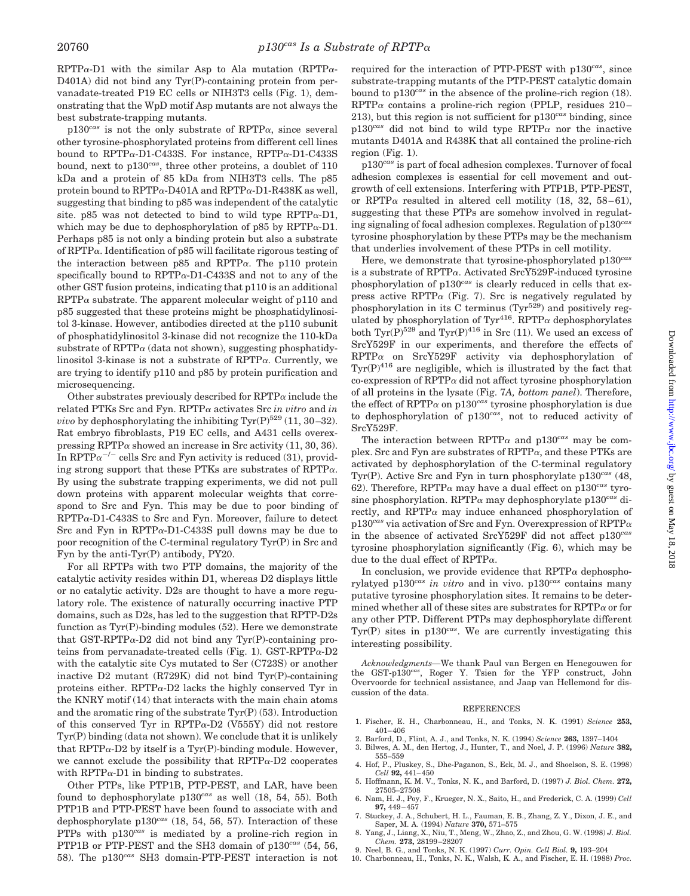$RPTP\alpha-D1$  with the similar Asp to Ala mutation (RPTP $\alpha$ -D401A) did not bind any Tyr(P)-containing protein from pervanadate-treated P19 EC cells or NIH3T3 cells (Fig. 1), demonstrating that the WpD motif Asp mutants are not always the best substrate-trapping mutants.

p130*cas* is not the only substrate of RPTPa, since several other tyrosine-phosphorylated proteins from different cell lines bound to RPTP $\alpha$ -D1-C433S. For instance, RPTP $\alpha$ -D1-C433S bound, next to p130*cas*, three other proteins, a doublet of 110 kDa and a protein of 85 kDa from NIH3T3 cells. The p85 protein bound to  $RPTP\alpha$ -D401A and  $RPTP\alpha$ -D1-R438K as well, suggesting that binding to p85 was independent of the catalytic site. p85 was not detected to bind to wild type RPTP $\alpha$ -D1, which may be due to dephosphorylation of p85 by RPTP $\alpha$ -D1. Perhaps p85 is not only a binding protein but also a substrate of RPTP $\alpha$ . Identification of p85 will facilitate rigorous testing of the interaction between  $p85$  and RPTP $\alpha$ . The p110 protein specifically bound to  $RPTP\alpha-D1-C433S$  and not to any of the other GST fusion proteins, indicating that p110 is an additional  $RPTP\alpha$  substrate. The apparent molecular weight of p110 and p85 suggested that these proteins might be phosphatidylinositol 3-kinase. However, antibodies directed at the p110 subunit of phosphatidylinositol 3-kinase did not recognize the 110-kDa substrate of  $RPTP\alpha$  (data not shown), suggesting phosphatidylinositol 3-kinase is not a substrate of  $RPTP\alpha$ . Currently, we are trying to identify p110 and p85 by protein purification and microsequencing.

Other substrates previously described for  $RPTP\alpha$  include the related PTKs Src and Fyn. RPTP<sup>a</sup> activates Src *in vitro* and *in vivo* by dephosphorylating the inhibiting  $\text{Tyr}(P)^{529}$  (11, 30–32). Rat embryo fibroblasts, P19 EC cells, and A431 cells overexpressing RPTP $\alpha$  showed an increase in Src activity (11, 30, 36). In RPTP $\alpha^{-/-}$  cells Src and Fyn activity is reduced (31), providing strong support that these PTKs are substrates of RPTP $\alpha$ . By using the substrate trapping experiments, we did not pull down proteins with apparent molecular weights that correspond to Src and Fyn. This may be due to poor binding of RPTPa-D1-C433S to Src and Fyn. Moreover, failure to detect Src and Fyn in  $RPTP\alpha-D1-C433S$  pull downs may be due to poor recognition of the C-terminal regulatory Tyr(P) in Src and Fyn by the anti-Tyr(P) antibody, PY20.

For all RPTPs with two PTP domains, the majority of the catalytic activity resides within D1, whereas D2 displays little or no catalytic activity. D2s are thought to have a more regulatory role. The existence of naturally occurring inactive PTP domains, such as D2s, has led to the suggestion that RPTP-D2s function as Tyr(P)-binding modules (52). Here we demonstrate that GST-RPTP $\alpha$ -D2 did not bind any Tyr(P)-containing proteins from pervanadate-treated cells (Fig. 1). GST-RPTP $\alpha$ -D2 with the catalytic site Cys mutated to Ser (C723S) or another inactive D2 mutant (R729K) did not bind Tyr(P)-containing proteins either.  $RPTP\alpha-D2$  lacks the highly conserved Tyr in the KNRY motif (14) that interacts with the main chain atoms and the aromatic ring of the substrate Tyr(P) (53). Introduction of this conserved Tyr in RPTP $\alpha$ -D2 (V555Y) did not restore Tyr(P) binding (data not shown). We conclude that it is unlikely that  $RPTP\alpha-D2$  by itself is a  $Tyr(P)$ -binding module. However, we cannot exclude the possibility that  $RPTP\alpha-D2$  cooperates with  $RPTP\alpha-D1$  in binding to substrates.

Other PTPs, like PTP1B, PTP-PEST, and LAR, have been found to dephosphorylate p130*cas* as well (18, 54, 55). Both PTP1B and PTP-PEST have been found to associate with and dephosphorylate p130*cas* (18, 54, 56, 57). Interaction of these PTPs with p130*cas* is mediated by a proline-rich region in PTP1B or PTP-PEST and the SH3 domain of p130*cas* (54, 56, 58). The p130*cas* SH3 domain-PTP-PEST interaction is not

required for the interaction of PTP-PEST with p130*cas*, since substrate-trapping mutants of the PTP-PEST catalytic domain bound to p130*cas* in the absence of the proline-rich region (18).  $RPTP\alpha$  contains a proline-rich region (PPLP, residues 210– 213), but this region is not sufficient for p130*cas* binding, since  $p130<sup>cas</sup>$  did not bind to wild type RPTP $\alpha$  nor the inactive mutants D401A and R438K that all contained the proline-rich region (Fig. 1).

p130*cas* is part of focal adhesion complexes. Turnover of focal adhesion complexes is essential for cell movement and outgrowth of cell extensions. Interfering with PTP1B, PTP-PEST, or RPTP $\alpha$  resulted in altered cell motility (18, 32, 58–61), suggesting that these PTPs are somehow involved in regulating signaling of focal adhesion complexes. Regulation of p130*cas* tyrosine phosphorylation by these PTPs may be the mechanism that underlies involvement of these PTPs in cell motility.

Here, we demonstrate that tyrosine-phosphorylated p130*cas* is a substrate of RPTP $\alpha$ . Activated SrcY529F-induced tyrosine phosphorylation of p130*cas* is clearly reduced in cells that express active RPTP $\alpha$  (Fig. 7). Src is negatively regulated by phosphorylation in its C terminus  $(Tyr^{529})$  and positively regulated by phosphorylation of Tyr<sup>416</sup>. RPTP $\alpha$  dephosphorylates both  $\text{Tyr}(P)^{529}$  and  $\text{Tyr}(P)^{416}$  in Src (11). We used an excess of SrcY529F in our experiments, and therefore the effects of  $RPTP\alpha$  on SrcY529F activity via dephosphorylation of  $\mathrm{Tyr}(P)^{416}$  are negligible, which is illustrated by the fact that  $co$ -expression of RPTP $\alpha$  did not affect tyrosine phosphorylation of all proteins in the lysate (Fig. 7*A, bottom panel*). Therefore, the effect of RPTP $\alpha$  on p130<sup>cas</sup> tyrosine phosphorylation is due to dephosphorylation of p130*cas*, not to reduced activity of SrcY529F.

The interaction between RPTP $\alpha$  and p130<sup>cas</sup> may be complex. Src and Fyn are substrates of  $RPTP\alpha$ , and these PTKs are activated by dephosphorylation of the C-terminal regulatory Tyr(P). Active Src and Fyn in turn phosphorylate p130*cas* (48, 62). Therefore,  $RPTP\alpha$  may have a dual effect on  $p130^{cas}$  tyrosine phosphorylation. RPTP<sup>a</sup> may dephosphorylate p130*cas* directly, and RPTP $\alpha$  may induce enhanced phosphorylation of p130*cas* via activation of Src and Fyn. Overexpression of RPTP<sup>a</sup> in the absence of activated SrcY529F did not affect p130*cas* tyrosine phosphorylation significantly (Fig. 6), which may be due to the dual effect of  $RPTP\alpha$ .

In conclusion, we provide evidence that  $RPTP\alpha$  dephosphorylatyed p130*cas in vitro* and in vivo. p130*cas* contains many putative tyrosine phosphorylation sites. It remains to be determined whether all of these sites are substrates for  $RPTP\alpha$  or for any other PTP. Different PTPs may dephosphorylate different Tyr(P) sites in p130*cas*. We are currently investigating this interesting possibility.

*Acknowledgments—*We thank Paul van Bergen en Henegouwen for the GST-p130*cas*, Roger Y. Tsien for the YFP construct, John Overvoorde for technical assistance, and Jaap van Hellemond for discussion of the data.

#### REFERENCES

- 1. Fischer, E. H., Charbonneau, H., and Tonks, N. K. (1991) *Science* **253,** 401–406
- 2. Barford, D., Flint, A. J., and Tonks, N. K. (1994) *Science* **263,** 1397–1404
- 3. Bilwes, A. M., den Hertog, J., Hunter, T., and Noel, J. P. (1996) *Nature* **382,** 555–559
- 4. Hof, P., Pluskey, S., Dhe-Paganon, S., Eck, M. J., and Shoelson, S. E. (1998) *Cell* **92,** 441–450
- 5. Hoffmann, K. M. V., Tonks, N. K., and Barford, D. (1997) *J. Biol. Chem.* **272,** 27505–27508 6. Nam, H. J., Poy, F., Krueger, N. X., Saito, H., and Frederick, C. A. (1999) *Cell*
- **97,** 449–457 7. Stuckey, J. A., Schubert, H. L., Fauman, E. B., Zhang, Z. Y., Dixon, J. E., and
- Saper, M. A. (1994) *Nature* **370,** 571–575 8. Yang, J., Liang, X., Niu, T., Meng, W., Zhao, Z., and Zhou, G. W. (1998) *J. Biol. Chem.* **273,** 28199–28207
- 9. Neel, B. G., and Tonks, N. K. (1997) *Curr. Opin. Cell Biol.* **9,** 193–204
- 10. Charbonneau, H., Tonks, N. K., Walsh, K. A., and Fischer, E. H. (1988) *Proc.*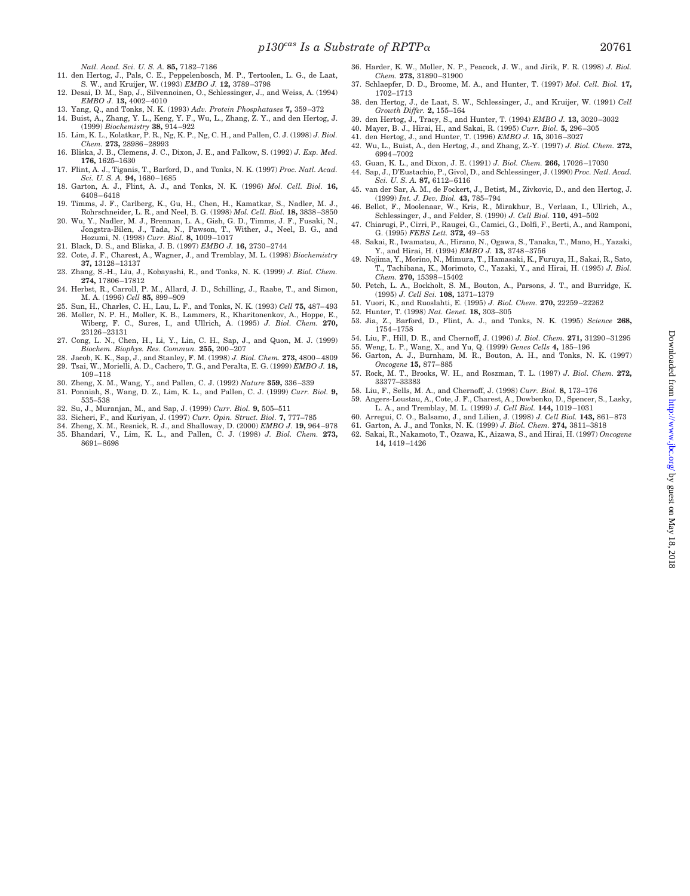*Natl. Acad. Sci. U. S. A.* **85,** 7182–7186

- 11. den Hertog, J., Pals, C. E., Peppelenbosch, M. P., Tertoolen, L. G., de Laat, S. W., and Kruijer, W. (1993) *EMBO J.* **12,** 3789–3798
- 12. Desai, D. M., Sap, J., Silvennoinen, O., Schlessinger, J., and Weiss, A. (1994) *EMBO J.* **13,** 4002–4010
- 13. Yang, Q., and Tonks, N. K. (1993) *Adv. Protein Phosphatases* **7,** 359–372
- 14. Buist, A., Zhang, Y. L., Keng, Y. F., Wu, L., Zhang, Z. Y., and den Hertog, J. (1999) *Biochemistry* **38,** 914–922
- 15. Lim, K. L., Kolatkar, P. R., Ng, K. P., Ng, C. H., and Pallen, C. J. (1998) *J. Biol. Chem.* **273,** 28986–28993
- 16. Bliska, J. B., Clemens, J. C., Dixon, J. E., and Falkow, S. (1992) *J. Exp. Med.* **176,** 1625–1630
- 17. Flint, A. J., Tiganis, T., Barford, D., and Tonks, N. K. (1997) *Proc. Natl. Acad. Sci. U. S. A.* **94,** 1680–1685
- 18. Garton, A. J., Flint, A. J., and Tonks, N. K. (1996) *Mol. Cell. Biol.* **16,** 6408–6418
- 19. Timms, J. F., Carlberg, K., Gu, H., Chen, H., Kamatkar, S., Nadler, M. J., Rohrschneider, L. R., and Neel, B. G. (1998) *Mol. Cell. Biol.* **18,** 3838–3850
- 20. Wu, Y., Nadler, M. J., Brennan, L. A., Gish, G. D., Timms, J. F., Fusaki, N., Jongstra-Bilen, J., Tada, N., Pawson, T., Wither, J., Neel, B. G., and Hozumi, N. (1998) *Curr. Biol.* **8,** 1009–1017
- 21. Black, D. S., and Bliska, J. B. (1997) *EMBO J.* **16,** 2730–2744
- 22. Cote, J. F., Charest, A., Wagner, J., and Tremblay, M. L. (1998) *Biochemistry* **37,** 13128–13137
- 23. Zhang, S.-H., Liu, J., Kobayashi, R., and Tonks, N. K. (1999) *J. Biol. Chem.* **274,** 17806–17812 24. Herbst, R., Carroll, P. M., Allard, J. D., Schilling, J., Raabe, T., and Simon,
- M. A. (1996) *Cell* **85,** 899–909
- 25. Sun, H., Charles, C. H., Lau, L. F., and Tonks, N. K. (1993) *Cell* **75,** 487–493 26. Moller, N. P. H., Moller, K. B., Lammers, R., Kharitonenkov, A., Hoppe, E., Wiberg, F. C., Sures, I., and Ullrich, A. (1995) *J. Biol. Chem.* **270,** 23126–23131
- 27. Cong, L. N., Chen, H., Li, Y., Lin, C. H., Sap, J., and Quon, M. J. (1999) *Biochem. Biophys. Res. Commun.* **255,** 200–207
- 28. Jacob, K. K., Sap, J., and Stanley, F. M. (1998) *J. Biol. Chem.* **273,** 4800–4809 29. Tsai, W., Morielli, A. D., Cachero, T. G., and Peralta, E. G. (1999) *EMBO J.* **18,**
- 109–118
- 30. Zheng, X. M., Wang, Y., and Pallen, C. J. (1992) *Nature* **359,** 336–339
- 31. Ponniah, S., Wang, D. Z., Lim, K. L., and Pallen, C. J. (1999) *Curr. Biol.* **9,** 535–538
- 32. Su, J., Muranjan, M., and Sap, J. (1999) *Curr. Biol.* **9,** 505–511
- 33. Sicheri, F., and Kuriyan, J. (1997) *Curr. Opin. Struct. Biol.* **7,** 777–785
- 34. Zheng, X. M., Resnick, R. J., and Shalloway, D. (2000) *EMBO J.* **19,** 964–978 35. Bhandari, V., Lim, K. L., and Pallen, C. J. (1998) *J. Biol. Chem.* **273,** 8691–8698
- 36. Harder, K. W., Moller, N. P., Peacock, J. W., and Jirik, F. R. (1998) *J. Biol. Chem.* **273,** 31890–31900
- 37. Schlaepfer, D. D., Broome, M. A., and Hunter, T. (1997) *Mol. Cell. Biol.* **17,** 1702–1713
- 38. den Hertog, J., de Laat, S. W., Schlessinger, J., and Kruijer, W. (1991) *Cell Growth Differ.* **2,** 155–164
- 39. den Hertog, J., Tracy, S., and Hunter, T. (1994) *EMBO J.* **13,** 3020–3032
- 40. Mayer, B. J., Hirai, H., and Sakai, R. (1995) *Curr. Biol.* **5,** 296–305
- 41. den Hertog, J., and Hunter, T. (1996) *EMBO J.* **15,** 3016–3027
- 42. Wu, L., Buist, A., den Hertog, J., and Zhang, Z.-Y. (1997) *J. Biol. Chem.* **272,** 6994–7002
- 43. Guan, K. L., and Dixon, J. E. (1991) *J. Biol. Chem.* **266,** 17026–17030 44. Sap, J., D'Eustachio, P., Givol, D., and Schlessinger, J. (1990) *Proc. Natl. Acad.*
- *Sci. U. S. A.* **87,** 6112–6116 45. van der Sar, A. M., de Fockert, J., Betist, M., Zivkovic, D., and den Hertog, J. (1999) *Int. J. Dev. Biol.* **43,** 785–794
- 46. Bellot, F., Moolenaar, W., Kris, R., Mirakhur, B., Verlaan, I., Ullrich, A., Schlessinger, J., and Felder, S. (1990) *J. Cell Biol.* **110,** 491–502
- 47. Chiarugi, P., Cirri, P., Raugei, G., Camici, G., Dolfi, F., Berti, A., and Ramponi, G. (1995) *FEBS Lett.* **372,** 49–53
- 48. Sakai, R., Iwamatsu, A., Hirano, N., Ogawa, S., Tanaka, T., Mano, H., Yazaki, Y., and Hirai, H. (1994) *EMBO J.* **13,** 3748–3756
- 49. Nojima, Y., Morino, N., Mimura, T., Hamasaki, K., Furuya, H., Sakai, R., Sato, T., Tachibana, K., Morimoto, C., Yazaki, Y., and Hirai, H. (1995) *J. Biol. Chem.* **270,** 15398–15402
- 50. Petch, L. A., Bockholt, S. M., Bouton, A., Parsons, J. T., and Burridge, K. (1995) *J. Cell Sci.* **108,** 1371–1379
- 51. Vuori, K., and Ruoslahti, E. (1995) *J. Biol. Chem.* **270,** 22259–22262
- 52. Hunter, T. (1998) *Nat. Genet.* **18,** 303–305
- 53. Jia, Z., Barford, D., Flint, A. J., and Tonks, N. K. (1995) *Science* **268,** 1754–1758
- 54. Liu, F., Hill, D. E., and Chernoff, J. (1996) *J. Biol. Chem.* **271,** 31290–31295
- 55. Weng, L. P., Wang, X., and Yu, Q. (1999) *Genes Cells* **4,** 185–196
- 56. Garton, A. J., Burnham, M. R., Bouton, A. H., and Tonks, N. K. (1997) *Oncogene* **15,** 877–885
- 57. Rock, M. T., Brooks, W. H., and Roszman, T. L. (1997) *J. Biol. Chem.* **272,** 33377–33383
- 58. Liu, F., Sells, M. A., and Chernoff, J. (1998) *Curr. Biol.* **8,** 173–176
- 59. Angers-Loustau, A., Cote, J. F., Charest, A., Dowbenko, D., Spencer, S., Lasky, L. A., and Tremblay, M. L. (1999) *J. Cell Biol.* **144,** 1019–1031
- 60. Arregui, C. O., Balsamo, J., and Lilien, J. (1998) *J. Cell Biol.* **143,** 861–873
- 61. Garton, A. J., and Tonks, N. K. (1999) *J. Biol. Chem.* **274,** 3811–3818 62. Sakai, R., Nakamoto, T., Ozawa, K., Aizawa, S., and Hirai, H. (1997) *Oncogene*
- **14,** 1419–1426